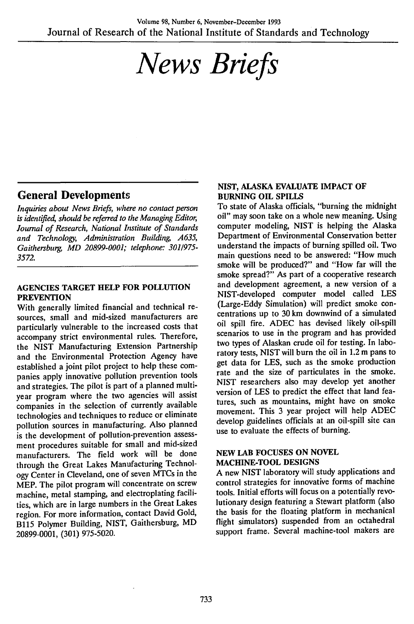# *News Briefs*

## General Developments

*Inquiries about News Briefs, where no contact person is identified, should be referred to the Managing Editor, Journal of Research, National Institute of Standards and Technology, Administration Building, A635, Gaithersburg, MD 20899-0001; telephone: 3011975- 3572.*

#### **AGENCIES TARGET HELP FOR POLLUTION PREVENTION**

With generally limited financial and technical resources, small and mid-sized manufacturers are particularly vulnerable to the increased costs that accompany strict environmental rules. Therefore, the NIST Manufacturing Extension Partnership and the Environmental Protection Agency have established a joint pilot project to help these companies apply innovative pollution prevention tools and strategies. The pilot is part of a planned multiyear program where the two agencies will assist companies in the selection of currently available technologies and techniques to reduce or eliminate pollution sources in manufacturing. Also planned is the development of pollution-prevention assessment procedures suitable for small and mid-sized manufacturers. The field work will be done through the Great Lakes Manufacturing Technology Center in Cleveland, one of seven MTCs in the MEP. The pilot program will concentrate on screw machine, metal stamping, and electroplating facilities, which are in large numbers in the Great Lakes region. For more information, contact David Gold, B115 Polymer Building, NIST, Gaithersburg, MD 20899-0001, (301) 975-5020.

### **NIST, ALASKA EVALUATE IMPACT OF BURNING OIL SPILLS**

To state of Alaska officials, "burning the midnight oil" may soon take on a whole new meaning. Using computer modeling, NIST is helping the Alaska Department of Environmental Conservation better understand the impacts of burning spilled oil. Two main questions need to be answered: "How much smoke will be produced?" and "How far will the smoke spread?" As part of a cooperative research and development agreement, a new version of a NIST-developed computer model called LES (Large-Eddy Simulation) will predict smoke concentrations up to 30 km downwind of a simulated oil spill fire. ADEC has devised likely oil-spill scenarios to use in the program and has provided two types of Alaskan crude oil for testing. In laboratory tests, NIST will burn the oil in 1.2 m pans to get data for LES, such as the smoke production rate and the size of particulates in the smoke. NIST researchers also may develop yet another version of LES to predict the effect that land features, such as mountains, might have on smoke movement. This 3 year project will help ADEC develop guidelines officials at an oil-spill site can use to evaluate the effects of burning.

#### **NEW LAB FOCUSES ON NOVEL MACHINE-TOOL DESIGNS**

A new NIST laboratory will study applications and control strategies for innovative forms of machine tools. Initial efforts will focus on a potentially revolutionary design featuring a Stewart platform (also the basis for the floating platform in mechanical flight simulators) suspended from an octahedral support frame. Several machine-tool makers are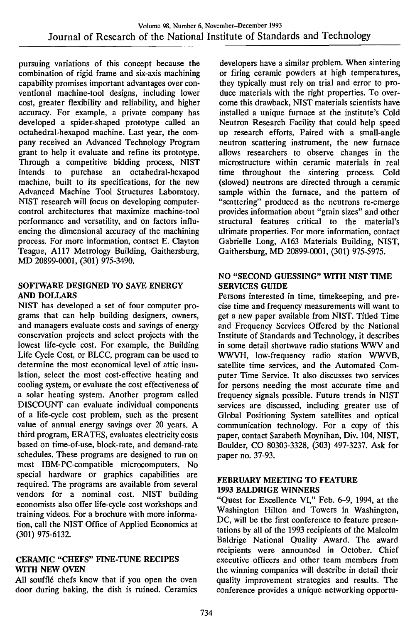pursuing variations of this concept because the combination of rigid frame and six-axis machining capability promises important advantages over conventional machine-tool designs, including lower cost, greater flexibility and reliability, and higher accuracy. For example, a private company has developed a spider-shaped prototype called an octahedral-hexapod machine. Last year, the company received an Advanced Technology Program grant to help it evaluate and refine its prototype. Through a competitive bidding process, NIST<br>intends to purchase an octahedral-hexapod purchase an octahedral-hexapod machine, built to its specifications, for the new Advanced Machine Tool Structures Laboratory. NIST research will focus on developing computercontrol architectures that maximize machine-tool performance and versatility, and on factors influencing the dimensional accuracy of the machining process. For more information, contact E. Clayton Teague, All? Metrology Building, Gaithersburg, MD 20899-0001, (301) 975-3490.

#### SOFTWARE DESIGNED TO SAVE ENERGY AND DOLLARS

NIST has developed a set of four computer programs that can help building designers, owners, and managers evaluate costs and savings of energy conservation projects and select projects with the lowest life-cycle cost. For example, the Building Life Cycle Cost, or BLCC, program can be used to determine the most economical level of attic insulation, select the most cost-effective heating and cooling system, or evaluate the cost effectiveness of a solar heating system. Another program called DISCOUNT can evaluate individual components of a life-cycle cost problem, such as the present value of annual energy savings over 20 years. A third program, ERATES, evaluates electricity costs based on time-of-use, block-rate, and demand-rate schedules. These programs are designed to run on most IBM-PC-compatible microcomputers. No special hardware or graphics capabilities are required. The programs are available from several vendors for a nominal cost. NIST building economists also offer life-cycle cost workshops and training videos. For a brochure with more information, call the NIST Office of Applied Economics at (301) 975-6132.

## CERAMIC "CHEFS" HNE-TUNE RECIPES WITH NEW OVEN

All soufflé chefs know that if you open the oven door during baking, the dish is ruined. Ceramics

developers have a similar problem. When sintering or firing ceramic powders at high temperatures, they typically must rely on trial and error to produce materials with the right properties. To overcome this drawback, NIST materials scientists have installed a unique furnace at the institute's Cold Neutron Research Facility that could help speed up research efforts. Paired with a small-angle neutron scattering instrument, the new furnace allows researchers to observe changes in the microstructure within ceramic materials in real time throughout the sintering process. Cold (slowed) neutrons are directed through a ceramic sample within the furnace, and the pattern of "scattering" produced as the neutrons re-emerge provides information about "grain sizes" and other structural features critical to the material's ultimate properties. For more information, contact Gabrielle Long, A163 Materials Building, NIST, Gaithersburg, MD 20899-0001, (301) 975-5975.

## NO "SECOND GUESSING" WITH NIST TIME SERVICES GUIDE

Persons interested in time, timekeeping, and precise time and frequency measurements will want to get a new paper available from NIST. Titled Time and Frequency Services Offered by the National Institute of Standards and Technology, it describes in some detail shortwave radio stations WWV and WWVH, low-frequency radio station WWVB, satellite time services, and the Automated Computer Time Service. It also discusses two services for persons needing the most accurate time and frequency signals possible. Future trends in NIST services are discussed, including greater use of Global Positioning System satellites and optical communication technology. For a copy of this paper, contact Sarabeth Moynihan, Div. 104, NIST, Boulder, CO 80303-3328, (303) 497-3237. Ask for paper no. 37-93.

#### FEBRUARY MEETING TO FEATURE 1993 BALDRIGE WINNERS

"Quest for Excellence VI," Feb. 6-9, 1994, at the Washington Hilton and Towers in Washington, DC, will be the first conference to feature presentations by all of the 1993 recipients of the Malcolm Baldrige National Quality Award, The award recipients were announced in October. Chief executive officers and other team members from the winning companies will describe in detail their quality improvement strategies and results. The conference provides a unique networking opportu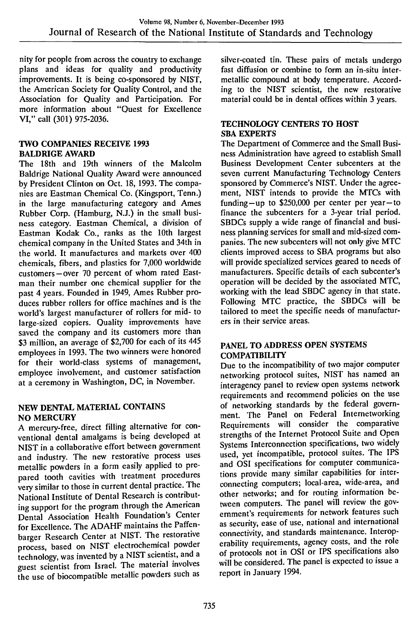nity for people from across the country to exchange plans and ideas for quality and productivity improvements. It is being co-sponsored by NIST, the American Society for Quality Control, and the Association for Quality and Participation. For more information about "Quest for Excellence VI," call (301) 975-2036.

#### **TWO COMPANIES RECEIVE 1993 BALDRIGE AWARD**

The 18th and 19th winners of the Malcolm Baldrige National Quality Award were announced by President Clinton on Oct. 18, 1993. The companies are Eastman Chemical Co. (Kingsport, Tenn.) in the large manufacturing category and Ames Rubber Corp. (Hamburg, N.J.) in the small business category. Eastman Chemical, a division of Eastman Kodak Co., ranks as the 10th largest chemical company in the United States and 34th in the world. It manufactures and markets over 400 chemicals, fibers, and plastics for 7,000 worldwide customers—over 70 percent of whom rated Eastman their number one chemical supplier for the past 4 years. Founded in 1949, Ames Rubber produces rubber rollers for office machines and is the world's largest manufacturer of rollers for mid- to large-sized copiers. Quality improvements have saved the company and its customers more than \$3 million, an average of \$2,700 for each of its 445 employees in 1993. The two winners were honored for their world-class systems of management, employee involvement, and customer satisfaction at a ceremony in Washington, DC, in November.

## **NEW DENTAL MATERIAL CONTAINS NO MERCURY**

A mercury-free, direct filling alternative for conventional dental amalgams is being developed at NIST in a collaborative effort between government and industry. The new restorative process uses metallic powders in a form easily applied to prepared tooth cavities with treatment procedures very similar to those in current dental practice. The National Institute of Dental Research is contributing support for the program through the American Dental Association Health Foundation's Center for Excellence. The ADAHF maintains the Paffenbarger Research Center at NIST. The restorative process, based on NIST electrochemical powder technology, was invented by a NIST scientist, and a guest scientist from Israel. The material involves the use of biocompatible metallic powders such as silver-coated tin. These pairs of metals undergo fast diffusion or combine to form an in-situ intermetallic compound at body temperature. According to the NIST scientist, the new restorative material could be in dental offices within 3 years.

#### **TECHNOLOGY CENTERS TO HOST SBA EXPERTS**

The Department of Commerce and the Small Business Administration have agreed to establish Small Business Development Center subcenters at the seven current Manufacturing Technology Centers sponsored by Commerce's NIST. Under the agreement, NIST intends to provide the MTCs with funding—up to  $$250,000$  per center per year—to finance the subcenters for a 3-year trial period. SBDCs supply a wide range of financial and business planning services for small and mid-sized companies. The new subcenters will not only give MTC clients improved access to SBA programs but also will provide specialized services geared to needs of manufacturers. Specific details of each subcenter's operation will be decided by the associated MTC, working with the lead SBDC agency in that state. Following MTC practice, the SBDCs will be tailored to meet the specific needs of manufacturers in their service areas.

#### **PANEL TO ADDRESS OPEN SYSTEMS COMPATIBILITY**

Due to the incompatibility of two major computer networking protocol suites, NIST has named an interagency panel to review open systems network requirements and recommend policies on the use of networking standards by the federal government. The Panel on Federal Internetworking Requirements will consider the comparative strengths of the Internet Protocol Suite and Open Systems Interconnection specifications, two widely used, yet incompatible, protocol suites. The IPS and OSI specifications for computer communications provide many similar capabilities for interconnecting computers; local-area, wide-area, and other networks; and for routing information between computers. The panel will review the government's requirements for network features such as security, ease of use, national and international connectivity, and standards maintenance. Interoperability requirements, agency costs, and the role of protocols not in OSI or IPS specifications also will be considered. The panel is expected to issue a report in January 1994.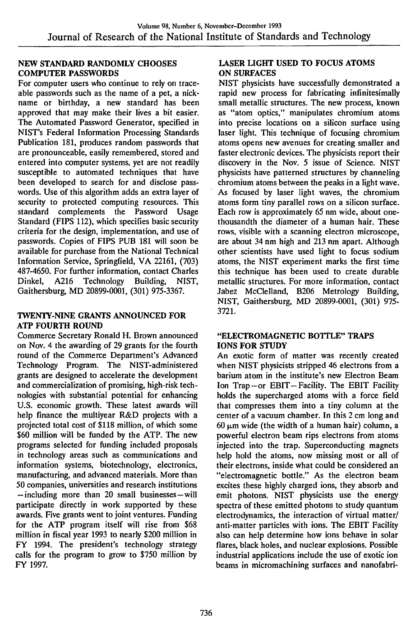#### NEW STANDARD RANDOMLY CHOOSES COMPUTER PASSWORDS

For computer users who continue to rely on traceable passwords such as the name of a pet, a nickname or birthday, a new standard has been approved that may make their lives a bit easier. The Automated Password Generator, specified in NIST's Federal Information Processing Standards Publication 181, produces random passwords that are pronounceable, easily remembered, stored and entered into computer systems, yet are not readily susceptible to automated techniques that have been developed to search for and disclose passwords. Use of this algorithm adds an extra layer of security to protected computing resources. This standard complements the Password Usage Standard (FIPS 112), which specifies basic security criteria for the design, implementation, and use of passwords. Copies of FIPS PUB 181 will soon be available for purchase from the National Technical Information Service, Springfield, VA 22161, (703) 487-4650. For further information, contact Charles<br>Dinkel, A216 Technology Building, NIST, Dinkel, A216 Technology Building, NIST, Gaithersburg, MD 20899-0001, (301) 975-3367.

## TWENTY-NINE GRANTS ANNOUNCED FOR ATP FOURTH ROUND

Commerce Secretary Ronald H. Brown announced on Nov. 4 the awarding of 29 grants for the fourth round of the Commerce Department's Advanced Technology Program. The NIST-administered grants are designed to accelerate the development and commercialization of promising, high-risk technologies with substantial potential for enhancing U.S. economic growth. These latest awards will help finance the multiyear R&D projects with a projected total cost of \$118 million, of which some \$60 million will be funded by the ATP. The new programs selected for funding included proposals in technology areas such as communications and information systems, biotechnology, electronics, manufacturing, and advanced materials. More than 50 companies, universities and research insfitutions —including more than 20 small businesses—will participate directly in work supported by these awards. Five grants went to joint ventures. Funding for the ATP program itself will rise from \$68 million in fiscal year 1993 to nearly \$200 million in FY 1994. The president's technology strategy calls for the program to grow to \$750 million by FY 1997.

## LASER LIGHT USED TO FOCUS ATOMS ON SURFACES

NIST physicists have successfully demonstrated a rapid new process for fabricating infinitesimally small metallic structures. The new process, known as "atom optics," manipulates chromium atoms into precise locations on a silicon surface using laser light. This technique of focusing chromium atoms opens new avenues for creating smaller and faster electronic devices. The physicists report their discovery in the Nov. 5 issue of Science. NIST physicists have patterned structures by channeling chromium atoms between the peaks in a light wave. As focused by laser light waves, the chromium atoms form tiny parallel rows on a silicon surface. Each row is approximately 65 nm wide, about onethousandth the diameter of a human hair. These rows, visible with a scanning electron microscope, are about 34 nm high and 213 nm apart. Although other scientists have used light to focus sodium atoms, the NIST experiment marks the first time this technique has been used to create durable metallic structures. For more information, contact Jabez McClelland, B206 Metrology Building, NIST, Gaithersburg, MD 20899-0001, (301) 975- 3721.

#### "ELECTROMAGNETIC BOTTLE" TRAPS IONS FOR STUDY

An exotic form of matter was recently created when NIST physicists stripped 46 electrons from a barium atom in the institute's new Electron Beam Ion Trap-or EBIT-Facility. The EBIT Facility holds the supercharged atoms with a force field that compresses them into a tiny column at the center of a vacuum chamber. In this 2 cm long and  $60 \mu m$  wide (the width of a human hair) column, a powerful electron beam rips electrons from atoms injected into the trap. Superconducting magnets help hold the atoms, now missing most or all of their electrons, inside what could be considered an "electromagnetic bottle." As the electron beam excites these highly charged ions, they absorb and emit photons. NIST physicists use the energy spectra of these emitted photons to study quantum electrodynamics, the interaction of virtual matter/ anti-matter particles with ions. The EBIT Facility also can help determine how ions behave in solar flares, black holes, and nuclear explosions. Possible industrial applications include the use of exotic ion beams in micromachining surfaces and nanofabri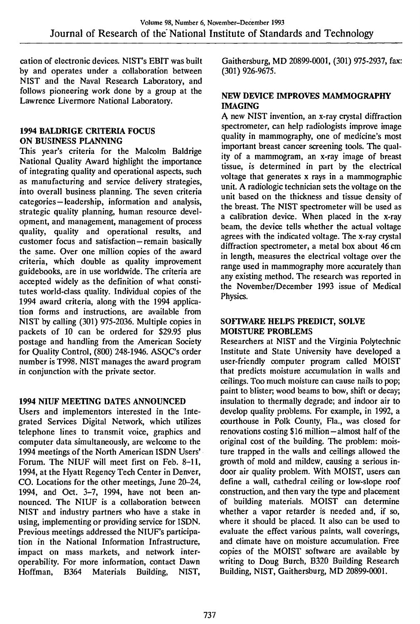cation of electronic devices. NIST's EBIT was built by and operates under a collaboration between NIST and the Naval Research Laboratory, and follows pioneering work done by a group at the Lawrence Livermore National Laboratory.

## **1994 BALDRIGE CRITERIA FOCUS ON BUSINESS PLANNING**

This year's criteria for the Malcolm Baldrige National Quality Award highlight the importance of integrating quality and operational aspects, such as manufacturing and service delivery strategies, into overall business planning. The seven criteria categories—leadership, information and analysis, strategic quality planning, human resource development, and management, management of process quality, quality and operational results, and customer focus and satisfaction—remain basically the same. Over one million copies of the award criteria, which double as quality improvement guidebooks, are in use worldwide. The criteria are accepted widely as the definition of what constitutes world-class quality. Individual copies of the 1994 award criteria, along with the 1994 application forms and instructions, are available from NIST by calling (301) 975-2036. Multiple copies in packets of 10 can be ordered for \$29.95 plus postage and handling from the American Society for Quality Control, (800) 248-1946. ASQC's order number is T998. NIST manages the award program in conjunction with the private sector.

## **1994 NIUF MEETING DATES ANNOUNCED**

Users and implementors interested in the Integrated Services Digital Network, which utilizes telephone lines to transmit voice, graphics and computer data simultaneously, are welcome to the 1994 meetings of the North American ISDN Users' Forum. The NIUF will meet first on Feb. 8-11, 1994, at the Hyatt Regency Tech Center in Denver, CO. Locations for the other meetings, June 20-24, 1994, and Oct. 3-7, 1994, have not been announced. The NIUF is a collaboration between NIST and industry partners who have a stake in using, implementing or providing service for ISDN. Previous meetings addressed the NIUF's participation in the National Information Infrastructure, impact on mass markets, and network interoperability. For more information, contact Dawn Hoffman, B364 Materials Building, NIST,

Gaithersburg, MD 20899-0001, (301) 975-2937, fax: (301) 926-9675.

#### **NEW DEVICE IMPROVES MAMMOGRAPHY IMAGING**

A new NIST invention, an x-ray crystal diffraction spectrometer, can help radiologists improve image quality in mammography, one of medicine's most important breast cancer screening tools. The quality of a mammogram, an x-ray image of breast tissue, is determined in part by the electrical voltage that generates x rays in a mammographic unit. A radiologic technician sets the voltage on the unit based on the thickness and tissue density of the breast. The NIST spectrometer will be used as a calibration device. When placed in the x-ray beam, the device tells whether the actual voltage agrees with the indicated voltage. The x-ray crystal diffraction spectrometer, a metal box about 46 cm in length, measures the electrical voltage over the range used in mammography more accurately than any existing method. The research was reported in the November/December 1993 issue of Medical Physics.

#### **SOFTWARE HELPS PREDICT, SOLVE MOISTURE PROBLEMS**

Researchers at NIST and the Virginia Polytechnic Institute and State University have developed a user-friendly computer program called MOIST that predicts moisture accumulation in walls and ceilings. Too much moisture can cause nails to pop; paint to blister; wood beams to bow, shift or decay; insulation to thermally degrade; and indoor air to develop quality problems. For example, in 1992, a courthouse in Polk County, Fla., was closed for renovations costing \$16 million—almost half of the original cost of the building. The problem: moisture trapped in the walls and ceilings allowed the growth of mold and mildew, causing a serious indoor air quality problem. With MOIST, users can define a wall, cathedral ceiling or low-slope roof construction, and then vary the type and placement of building materials. MOIST can determine whether a vapor retarder is needed and, if so, where it should be placed. It also can be used to evaluate the effect various paints, wall coverings, and climate have on moisture accumulation. Free copies of the MOIST software are available by writing to Doug Burch, B320 Building Research Building, NIST, Gaithersburg, MD 20899-0001.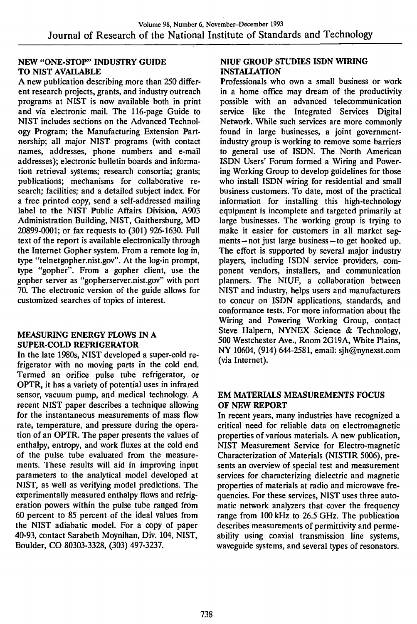#### NEW "ONE-STOP" INDUSTRY GUIDE TO NIST AVAILABLE

A new publication describing more than 250 different research projects, grants, and industry outreach programs at NIST is now available both in print and via electronic mail. The 116-page Guide to NIST includes sections on the Advanced Technology Program; the Manufacturing Extension Partnership; all major NIST programs (with contact names, addresses, phone numbers and e-mail addresses); electronic bulletin boards and information retrieval systems; research consortia; grants; publications; mechanisms for collaborative research; facilities; and a detailed subject index. For a free printed copy, send a self-addressed mailing label to the NIST Public Affairs Division, A903 Administration Building, NIST, Gaithersburg, MD 20899-0001; or fax requests to (301) 926-1630. Full text of the report is available electronically through the Internet Gopher system. From a remote log in, type "telnetgopher.nist.gov". At the log-in prompt, type "gopher". From a gopher client, use the gopher server as "gopherserver.nist.gov" with port 70. The electronic version of the guide allows for customized searches of topics of interest.

#### MEASURING ENERGY FLOWS IN A SUPER-COLD REFRIGERATOR

In the late 1980s, NIST developed a super-cold refrigerator with no moving parts in the cold end. Termed an orifice pulse tube refrigerator, or OPTR, it has a variety of potential uses in infrared sensor, vacuum pump, and medical technology. A recent NIST paper describes a technique allowing for the instantaneous measurements of mass flow rate, temperature, and pressure during the operation of an OPTR. The paper presents the values of enthalpy, entropy, and work fluxes at the cold end of the pulse tube evaluated from the measurements. These results will aid in improving input parameters to the analytical model developed at NIST, as well as verifying model predictions. The experimentally measured enthalpy flows and refrigeration powers within the pulse tube ranged from 60 percent to 85 percent of the ideal values from the NIST adiabatic model. For a copy of paper 40-93, contact Sarabeth Moynihan, Div. 104, NIST, Boulder, CO 80303-3328, (303) 497-3237.

#### NIUF GROUP STUDIES ISDN WIRING INSTALLATION

Professionals who own a small business or work in a home office may dream of the productivity possible with an advanced telecommunication service like the Integrated Services Digital Network. While such services are more commonly found in large businesses, a joint governmentindustry group is working to remove some barriers to general use of ISDN. The North American ISDN Users' Forum formed a Wiring and Powering Working Group to develop guidelines for those who install ISDN wiring for residential and small business customers. To date, most of the practical information for installing this high-technology equipment is incomplete and targeted primarily at large businesses. The working group is trying to make it easier for customers in all market segments—not just large business—to get hooked up. The effort is supported by several major industry players, including ISDN service providers, component vendors, installers, and communication planners. The NIUF, a collaboration between NIST and industry, helps users and manufacturers to concur on ISDN applications, standards, and conformance tests. For more information about the Wiring and Powering Working Group, contact Steve Halpern, NYNEX Science *&* Technology, 500 Westchester Ave., Room 2G19A, White Plains, NY 10604, (914) 644-2581, email: sjh@nynexst.com (via Internet).

## EM MATERIALS MEASUREMENTS FOCUS OF NEW REPORT

In recent years, many industries have recognized a critical need for reliable data on electromagnetic properties of various materials. A new publication, NIST Measurement Service for Electro-magnetic Characterization of Materials (NISTIR 5006), presents an overview of special test and measurement services for characterizing dielectric and magnetic properties of materials at radio and microwave frequencies. For these services, NIST uses three automatic network analyzers that cover the frequency range from 100 kHz to 26.5 GHz. The publication describes measurements of permittivity and permeability using coaxial transmission line systems, waveguide systems, and several types of resonators.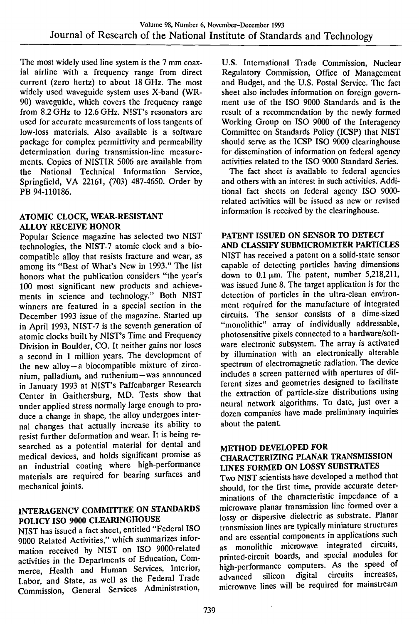The most widely used line system is the 7 mm coaxial airline with a frequency range from direct current (zero hertz) to about 18 GHz. The most widely used waveguide system uses X-band (WR-90) waveguide, which covers the frequency range from 8.2 GHz to 12.6 GHz. NIST's resonators are used for accurate measurements of loss tangents of low-loss materials. Also available is a software package for complex permittivity and permeability determination during transmission-line measurements. Copies of NISTIR 5006 are available from the National Technical Information Service, Springfield, VA 22161, (703) 487-4650. Order by PB 94-110186.

## **ATOMIC CLOCK, WEAR-RESISTANT ALLOY RECEIVE HONOR**

Popular Science magazine has selected two NIST technologies, the NIST-7 atomic clock and a biocompatible alloy that resists fracture and wear, as among its "Best of What's New in 1993." The list honors what the publication considers "the year's 100 most significant new products and achievements in science and technology." Both NIST winners are featured in a special section in the December 1993 issue of the magazine. Started up in April 1993, NIST-7 is the seventh generation of atomic clocks built by NIST's Time and Frequency Division in Boulder, CO. It neither gains nor loses a second in <sup>1</sup> million years. The development of the new alloy—a biocompatible mixture of zirconium, palladium, and ruthenium—was announced in January 1993 at NIST's Paffenbarger Research Center in Gaithersburg, MD. Tests show that under applied stress normally large enough to produce a change in shape, the alloy undergoes internal changes that actually increase its ability to resist further deformation and wear. It is being researched as a potential material for dental and medical devices, and holds significant promise as an industrial coating where high-performance materials are required for bearing surfaces and mechanical joints.

## **INTERAGENCY COMMTITEE ON STANDARDS POLICY ISO 9000 CLEARINGHOUSE**

NIST has issued a fact sheet, entitled "Federal ISO 9000 Related Activities," which summarizes information received by NIST on ISO 9000-related activities in the Departments of Education, Commerce, Health and Human Services, Interior, Labor, and State, as well as the Federal Trade Commission, General Services Administration,

U.S. International Trade Commission, Nuclear Regulatory Commission, Office of Management and Budget, and the U.S. Postal Service. The fact sheet also includes information on foreign government use of the ISO 9000 Standards and is the result of a recommendation by the newly formed Working Group on ISO 9000 of the Interagency Committee on Standards Policy (ICSP) that NIST should serve as the ICSP ISO 9000 clearinghouse for dissemination of information on federal agency activities related to the ISO 9000 Standard Series.

The fact sheet is available to federal agencies and others with an interest in such activities. Additional fact sheets on federal agency ISO 9000 related activities will be issued as new or revised information is received by the clearinghouse.

## **PATENT ISSUED ON SENSOR TO DETECT**

**AND CLASSIFY SUBMICROMETER PARTICLES** NIST has received a patent on a solid-state sensor capable of detecting particles having dimensions down to  $0.1 \mu m$ . The patent, number 5,218,211, was issued June 8. The target application is for the detection of particles in the ultra-clean environment required for the manufacture of integrated circuits. The sensor consists of a dime-sized "monolithic" array of individually addressable, photosensitive pixels connected to a hardware/software electronic subsystem. The array is activated by illumination with an electronically alterable spectrum of electromagnetic radiation. The device includes a screen patterned with apertures of different sizes and geometries designed to facilitate the extraction of particle-size distributions using neural network algorithms. To date, just over a dozen companies have made preliminary inquiries about the patent.

#### **METHOD DEVELOPED FOR CHARACTERIZING PLANAR TRANSMISSION LINES FORMED ON LOSSY SUBSTRATES**

Two NIST scientists have developed a method that should, for the first time, provide accurate determinations of the characteristic impedance of a microwave planar transmission line formed over a lossy or dispersive dielectric as substrate. Planar transmission lines are typically miniature structures and are essential components in applications such as monolithic microwave integrated circuits, printed-circuit boards, and special modules for high-performance computers. As the speed of advanced silicon digital circuits increases, advanced silicon digital circuits increases, microwave lines will be required for mainstream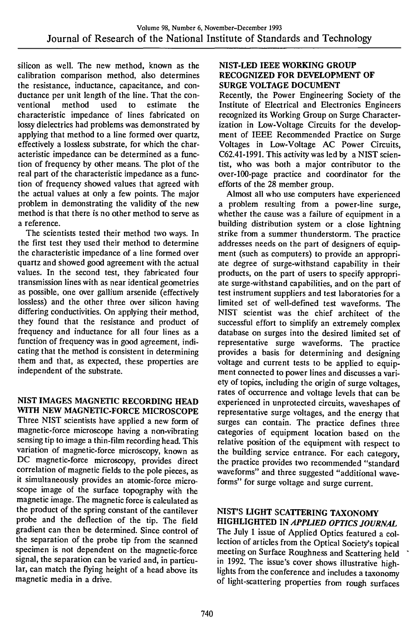silicon as well. The new method, known as the calibration comparison method, also determines the resistance, inductance, capacitance, and conductance per unit length of the line. That the con-<br>ventional method used to estimate the ventional method used to estimate the characteristic impedance of lines fabricated on lossy dielectrics had problems was demonstrated by applying that method to a line formed over quartz, effectively a lossless substrate, for which the characteristic impedance can be determined as a function of frequency by other means. The plot of the real part of the characteristic impedance as a function of frequency showed values that agreed with the actual values at only a few points. The major problem in demonstrating the validity of the new method is that there is no other method to serve as a reference.

The scientists tested their method two ways. In the first test they used their method to determine the characteristic impedance of a line formed over quartz and showed good agreement with the actual values. In the second test, they fabricated four transmission lines with as near identical geometries as possible, one over gallium arsenide (effectively lossless) and the other three over silicon having differing conductivities. On applying their method, they found that the resistance and product of frequency and inductance for all four lines as a function of frequency was in good agreement, indicating that the method is consistent in determining them and that, as expected, these properties are independent of the substrate.

#### NIST IMAGES MAGNETIC RECORDING HEAD WITH NEW MAGNETIC-FORCE MICROSCOPE

Three NIST scientists have applied a new form of magnetic-force microscope having a non-vibrating sensing tip to image a thin-film recording head. This variation of magnetic-force microscopy, known as DC magnetic-force microscopy, provides direct correlation of magnetic fields to the pole pieces, as it simultaneously provides an atomic-force microscope image of the surface topography with the magnetic image. The magnetic force is calculated as the product of the spring constant of the cantilever probe and the deflection of the tip. The field gradient can then be determined. Since control of the separation of the probe tip from the scanned specimen is not dependent on the magnetic-force signal, the separation can be varied and, in particular, can match the flying height of a head above its magnetic media in a drive.

#### NIST-LED IEEE WORKING GROUP RECOGNIZED FOR DEVELOPMENT OF SURGE VOLTAGE DOCUMENT

Recently, the Power Engineering Society of the Institute of Electrical and Electronics Engineers recognized its Working Group on Surge Characterization in Low-Voltage Circuits for the development of IEEE Recommended Practice on Surge Voltages in Low-Voltage AC Power Circuits, C62.41-1991. This activity was led by a NIST scientist, who was both a major contributor to the over-lOO-page practice and coordinator for the efforts of the 28 member group.

Almost all who use computers have experienced a problem resulting from a power-line surge, whether the cause was a failure of equipment in a building distribution system or a close lightning strike from a summer thunderstorm. The practice addresses needs on the part of designers of equipment (such as computers) to provide an appropriate degree of surge-withstand capability in their products, on the part of users to specify appropriate surge-withstand capabilities, and on the part of test instrument suppliers and test laboratories for a limited set of well-defined test waveforms. The NIST scientist was the chief architect of the successful effort to simplify an extremely complex database on surges into the desired limited set of representative surge waveforms. The practice provides a basis for determining and designing voltage and current tests to be applied to equipment connected to power lines and discusses a variety of topics, including the origin of surge voltages, rates of occurrence and voltage levels that can be experienced in unprotected circuits, waveshapes of representative surge voltages, and the energy that surges can contain. The practice defines three categories of equipment location based on the relative position of the equipment with respect to the building service entrance. For each category, the practice provides two recommended "standard waveforms" and three suggested "additional waveforms" for surge voltage and surge current.

## NIST'S LIGHT SCATTERING TAXONOMY HIGHLIGHTED *m APPLIED OPTICS JOURNAL*

The July <sup>1</sup> issue of Applied Optics featured a collection of articles from the Optical Society's topical meeting on Surface Roughness and Scattering held in 1992. The issue's cover shows illustrative highlights from the conference and includes a taxonomy of light-scattering properties from rough surfaces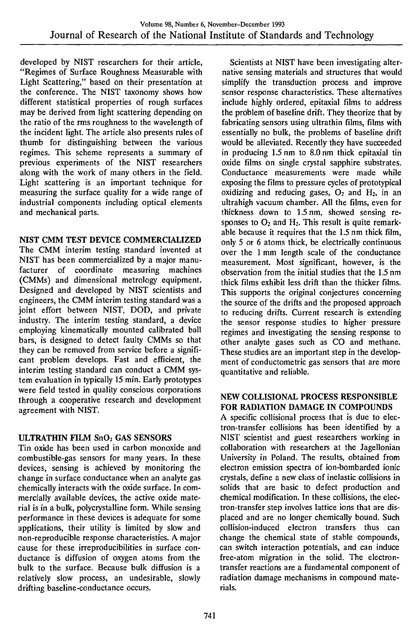developed by NIST researchers for their article, "Regimes of Surface Roughness Measurable with Light Scattering," based on their presentation at the conference. The NIST taxonomy shows how different statistical properties of rough surfaces may be derived from light scattering depending on the ratio of the rms roughness to the wavelength of the incident light. The article also presents rules of thumb for distinguishing between the various regimes. This scheme represents a summary of previous experiments of the NIST researchers along with the work of many others in the field. Light scattering is an important technique for measuring the surface quality for a wide range of industrial components including optical elements and mechanical parts.

## NIST CMM TEST DEVICE COMMERCIALIZED

The CMM interim testing standard invented at NIST has been commercialized by a major manufacturer of coordinate measuring machines (CMMs) and dimensional metrology equipment. Designed and developed by NIST scientists and engineers, the CMM interim testing standard was a joint effort between NIST, DOD, and private industry. The interim testing standard, a device employing kinematically mounted calibrated ball bars, is designed to detect faulty CMMs so that they can be removed from service before a significant problem develops. Fast and efficient, the interim testing standard can conduct a CMM system evaluation in typically 15 min. Early prototypes were field tested in quality conscious corporations through a cooperative research and development agreement with NIST.

## ULTRATHIN FILM SnO<sub>2</sub> GAS SENSORS

Tin oxide has been used in carbon monoxide and combustible-gas sensors for many years. In these devices, sensing is achieved by monitoring the change in surface conductance when an analyte gas chemically interacts with the oxide surface. In commercially available devices, the active oxide material is in a bulk, polycrystalline form. While sensing performance in these devices is adequate for some applications, their utility is limited by slow and non-reproducible response characteristics. A major cause for these irreproducibilities in surface conductance is diffusion of oxygen atoms from the bulk to the surface. Because bulk diffusion is a relatively slow process, an undesirable, slowly drifting baseline-conductance occurs.

Scientists at NIST have been investigating alternative sensing materials and structures that would simplify the transduction process and improve sensor response characteristics. These alternatives include highly ordered, epitaxial films to address the problem of baseline drift. They theorize that by fabricating sensors using ultrathin films, films with essentially no bulk, the problems of baseline drift would be alleviated. Recently they have succeeded in producing 1.5 nm to 8.0 nm thick epitaxial tin oxide films on single crystal sapphire substrates. Conductance measurements were made while exposing the films to pressure cycles of prototypical oxidizing and reducing gases,  $O<sub>2</sub>$  and  $H<sub>2</sub>$ , in an ultrahigh vacuum chamber. All the films, even for thickness down to 1.5 nm, showed sensing responses to  $O_2$  and  $H_2$ . This result is quite remarkable because it requires that the 1.5 nm thick film, only 5 or 6 atoms thick, be electrically continuous over the <sup>1</sup> mm length scale of the conductance measurement. Most significant, however, is the observation from the initial studies that the 1.5 nm thick films exhibit less drift than the thicker films. This supports the original conjectures concerning the source of the drifts and the proposed approach to reducing drifts. Current research is extending the sensor response studies to higher pressure regimes and investigating the sensing response to other analyte gases such as CO and methane. These studies are an important step in the development of conductometric gas sensors that are more quantitative and reliable.

## NEW COLLISIONAL PROCESS RESPONSIBLE FOR RADIATION DAMAGE IN COMPOUNDS

A specific collisional process that is due to electron-transfer collisions has been identified by a NIST scientist and guest researchers working in collaboration with researchers at the Jagellonian University in Poland. The results, obtained from electron emission spectra of ion-bombarded ionic crystals, define a new class of inelastic collisions in solids that are basic to defect production and chemical modification. In these collisions, the electron-transfer step involves lattice ions that are displaced and are no longer chemically bound. Such collision-induced electron transfers thus can change the chemical state of stable compounds, can switch interaction potentials, and can induce free-atom migration in the solid. The electrontransfer reactions are a fundamental component of radiation damage mechanisms in compound materials.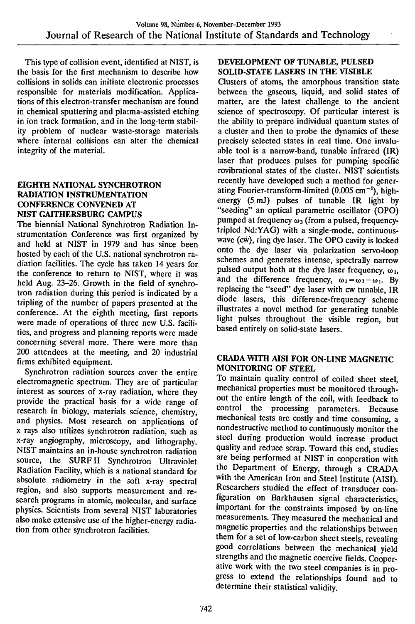This type of collision event, identified at NIST, is the basis for the first mechanism to describe how collisions in solids can initiate electronic processes responsible for materials modification. Applications of this electron-transfer mechanism are found in chemical sputtering and plasma-assisted etching in ion track formation, and in the long-term stability problem of nuclear waste-storage materials where internal collisions can alter the chemical integrity of the material.

## **EIGHTH NATIONAL SYNCHROTRON RADIATION INSTRUMENTATION CONFERENCE CONVENED AT NIST GAITHERSBURG CAMPUS**

The biennial National Synchrotron Radiation Instrumentation Conference was first organized by and held at NIST in 1979 and has since been hosted by each of the U.S. national synchrotron radiation facilities. The cycle has taken 14 years for the conference to return to NIST, where it was held Aug. 23-26. Growth in the field of synchrotron radiation during this period is indicated by a tripling of the number of papers presented at the conference. At the eighth meeting, first reports were made of operations of three new U.S. facilities, and progress and planning reports were made concerning several more. There were more than 200 attendees at the meeting, and 20 industrial firms exhibited equipment.

Synchrotron radiation sources cover the entire electromagnetic spectrum. They are of particular interest as sources of x-ray radiation, where they provide the practical basis for a wide range of research in biology, materials science, chemistry, and physics. Most research on applications of <sup>X</sup> rays also utilizes synchrotron radiation, such as x-ray angiography, microscopy, and lithography. NIST maintains an in-house synchrotron radiation source, the SURF II Synchrotron Ultraviolet Radiation Facility, which is a national standard for absolute radiometry in the soft x-ray spectral region, and also supports measurement and research programs in atomic, molecular, and surface physics. Scientists from several NIST laboratories also make extensive use of the higher-energy radiation from other synchrotron facilities.

#### **DEVELOPMENT OF TUNABLE, PULSED SOLID-STATE LASERS IN THE VISIBLE**

Clusters of atoms, the amorphous transition state between the gaseous, liquid, and solid states of matter, are the latest challenge to the ancient science of spectroscopy. Of particular interest is the ability to prepare individual quantum states of a cluster and then to probe the dynamics of these precisely selected states in real time. One invaluable tool is a narrow-band, tunable infrared (IR) laser that produces pulses for pumping specific rovibrational states of the cluster. NIST scientists recently have developed such a method for generating Fourier-transform-limited  $(0.005 \text{ cm}^{-1})$ , highenergy (5 mJ) pulses of tunable IR light by "seeding" an optical parametric oscillator (OPO) pumped at frequency  $\omega_3$  (from a pulsed, frequencytripled Nd:YAG) with a single-mode, continuouswave (cw), ring dye laser. The OPO cavity is locked onto the dye laser via polarization servo-loop schemes and generates intense, spectrally narrow pulsed output both at the dye laser frequency,  $\omega_1$ , and the difference frequency,  $\omega_2 = \omega_3 - \omega_1$ . By replacing the "seed" dye laser with cw tunable, IR diode lasers, this difference-frequency scheme illustrates a novel method for generating tunable light pulses throughout the visible region, but based entirely on solid-state lasers.

## **CRADA WITH AISI FOR ON-LINE MAGNETIC MONITORING OF STEEL**

To maintain quality control of coiled sheet steel, mechanical properties must be monitored throughout the entire length of the coil, with feedback to control the processing parameters. Because mechanical tests are costly and time consuming, a nondestructive method to continuously monitor the steel during production would increase product quality and reduce scrap. Toward this end, studies are being performed at NIST in cooperation with the Department of Energy, through a CRADA with the American Iron and Steel Institute (AISI). Researchers studied the effect of transducer configuration on Barkhausen signal characteristics, important for the constraints imposed by on-line measurements. They measured the mechanical and magnetic properties and the relationships between them for a set of low-carbon sheet steels, revealing good correlations between the mechanical yield strengths and the magnetic coercive fields. Cooperative work with the two steel companies is in progress to extend the relationships found and to determine their statistical validity.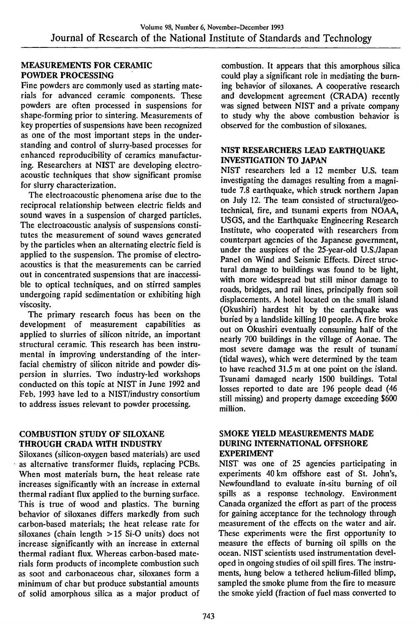## MEASUREMENTS FOR CERAMIC POWDER PROCESSING

Fine powders are commonly used as starting materials for advanced ceramic components. These powders are often processed in suspensions for shape-forming prior to sintering. Measurements of key properties of suspensions have been recognized as one of the most important steps in the understanding and control of slurry-based processes for enhanced reproducibility of ceramics manufacturing. Researchers at NIST are developing electroacoustic techniques that show significant promise for slurry characterization.

The electroacoustic phenomena arise due to the reciprocal relationship between electric fields and sound waves in a suspension of charged particles. The electroacoustic analysis of suspensions constitutes the measurement of sound waves generated by the particles when an alternating electric field is applied to the suspension. The promise of electroacoustics is that the measurements can be carried out in concentrated suspensions that are inaccessible to optical techniques, and on stirred samples undergoing rapid sedimentation or exhibiting high viscosity.

The primary research focus has been on the development of measurement capabilities as applied to slurries of silicon nitride, an important structural ceramic. This research has been instrumental in improving understanding of the interfacial chemistry of silicon nitride and powder dispersion in slurries. Two industiy-led workshops conducted on this topic at NIST in June 1992 and Feb. 1993 have led to a NIST/industry consortium to address issues relevant to powder processing.

## COMBUSTION STUDY OF SILOXANE THROUGH CRADA WITH INDUSTRY

Siloxanes (silicon-oxygen based materials) are used as alternative transformer fluids, replacing PCBs. When most materials burn, the heat release rate increases significantly with an increase in external thermal radiant flux applied to the burning surface. This is true of wood and plastics. The burning behavior of siloxanes differs markedly from such carbon-based materials; the heat release rate for siloxanes (chain length > 15 Si-O units) does not increase significantly with an increase in external thermal radiant flux. Whereas carbon-based materials form products of incomplete combustion such as soot and carbonaceous char, siloxanes form a minimum of char but produce substantial amounts of solid amorphous silica as a major product of

combustion. It appears that this amorphous silica could play a significant role in mediating the burning behavior of siloxanes. A cooperative research and development agreement (CRADA) recently was signed between NIST and a private company to study why the above combustion behavior is observed for the combustion of siloxanes.

## NIST RESEARCHERS LEAD EARTHQUAKE INVESTIGATION TO JAPAN

NIST researchers led a 12 member U.S. team investigating the damages resulting from a magnitude 7.8 earthquake, which struck northern Japan on July 12. The team consisted of structural/geotechnical, fire, and tsunami experts from NCAA, USGS, and the Earthquake Engineering Research Institute, who cooperated with researchers from counterpart agencies of the Japanese government, under the auspices of the 25-year-old U.S./Japan Panel on Wind and Seismic Effects. Direct structural damage to buildings was found to be light, with more widespread but still minor damage to roads, bridges, and rail lines, principally from soil displacements. A hotel located on the small island (Okushiri) hardest hit by the earthquake was buried by a landslide killing 10 people. A fire broke out on Okushiri eventually consuming half of the nearly 700 buildings in the village of Aonae. The most severe damage was the result of tsunami (tidal waves), which were determined by the team to have reached 31.5 m at one point on the island. Tsunami damaged nearly 1500 buildings. Total losses reported to date are 196 people dead (46 still missing) and property damage exceeding \$600 million.

#### SMOKE YIELD MEASUREMENTS MADE DURING INTERNATIONAL OFFSHORE EXPERIMENT

NIST was one of 25 agencies participating in experiments 40 km offshore east of St. John's, Newfoundland to evaluate in-situ burning of oil spills as a response technology. Environment Canada organized the effort as part of the process for gaining acceptance for the technology through measurement of the effects on the water and air. These experiments were the first opportunity to measure the effects of burning oil spills on the ocean. NIST scientists used instrumentation developed in ongoing studies of oil spill fires. The instruments, hung below a tethered helium-filled blimp, sampled the smoke plume from the fire to measure the smoke yield (fraction of fuel mass converted to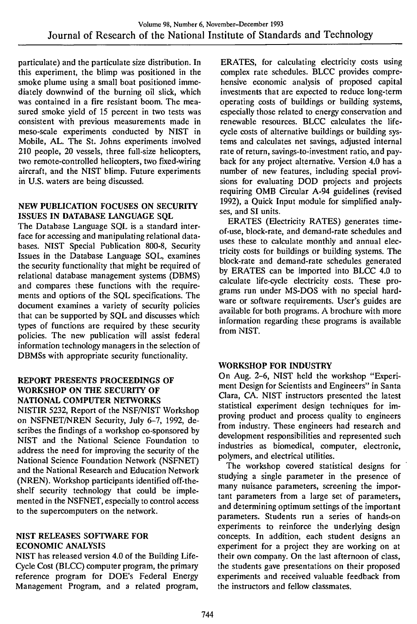paniculate) and the particulate size distribution. In this experiment, the blimp was positioned in the smoke plume using a small boat positioned immediately downwind of the burning oil slick, which was contained in a fire resistant boom. The measured smoke yield of 15 percent in two tests was consistent with previous measurements made in meso-scale experiments conducted by NIST in Mobile, AL. The St. Johns experiments involved 210 people, 20 vessels, three full-size helicopters, two remote-controlled helicopters, two fixed-wiring aircraft, and the NIST blimp. Future experiments in U.S. waters are being discussed.

#### NEW PUBLICATION FOCUSES ON SECURITY ISSUES IN DATABASE LANGUAGE SQL

The Database Language SQL is a standard interface for accessing and manipulating relational databases. NIST Special Publication 800-8, Security Issues in the Database Language SQL, examines the security functionality that might be required of relational database management systems (DBMS) and compares these functions with the requirements and options of the SQL specifications. The document examines a variety of security policies that can be supported by SQL and discusses which types of functions are required by these security policies. The new publication will assist federal information technology managers in the selection of DBMSs with appropriate security functionality.

## REPORT PRESENTS PROCEEDINGS OF WORKSHOP ON THE SECURITY OF NATIONAL COMPUTER NETWORKS

NISTIR 5232, Report of the NSF/NIST Workshop on NSFNET/NREN Security, July 6-7, 1992, describes the findings of a workshop co-sponsored by NIST and the National Science Foundation to address the need for improving the security of the National Science Foundation Network (NSFNET) and the National Research and Education Network (NREN). Workshop participants identified off-theshelf security technology that could be implemented in the NSFNET, especially to control access to the supercomputers on the network.

#### NIST RELEASES SOFTWARE FOR ECONOMIC ANALYSIS

NIST has released version 4.0 of the Building Life-Cycle Cost (BLCC) computer program, the primary reference program for DOE's Federal Energy Management Program, and a related program,

ERATES, for calculating electricity costs using complex rate schedules. BLCC provides comprehensive economic analysis of proposed capital investments that are expected to reduce long-term operating costs of buildings or building systems, especially those related to energy conservation and renewable resources. BLCC calculates the lifecycle costs of alternative buildings or building systems and calculates net savings, adjusted internal rate of return, savings-to-investment ratio, and payback for any project alternative. Version 4.0 has a number of new features, including special provisions for evaluating DOD projects and projects requiring OMB Circular A-94 guidelines (revised 1992), a Quick Input module for simplified analyses, and SI units.

ERATES (Electricity RATES) generates timeof-use, block-rate, and demand-rate schedules and uses these to calculate monthly and annual electricity costs for buildings or building systems. The block-rate and demand-rate schedules generated by ERATES can be imported into BLCC 4.0 to calculate life-cycle electricity costs. These programs run under MS-DOS with no special hardware or software requirements. User's guides are available for both programs. A brochure with more information regarding these programs is available from NIST.

## WORKSHOP FOR INDUSTRY

On Aug. 2-6, NIST held the workshop "Experiment Design for Scientists and Engineers" in Santa Clara, CA. NIST instructors presented the latest statistical experiment design techniques for improving product and process quality to engineers from industry. These engineers had research and development responsibilities and represented such industries as biomedical, computer, electronic, polymers, and electrical utilities.

The workshop covered statistical designs for studying a single parameter in the presence of many nuisance parameters, screening the important parameters from a large set of parameters, and determining optimum settings of the important parameters. Students run a series of hands-on experiments to reinforce the underlying design concepts. In addition, each student designs an experiment for a project they are working on at their own company. On the last afternoon of class, the students gave presentations on their proposed experiments and received valuable feedback from the instructors and fellow classmates.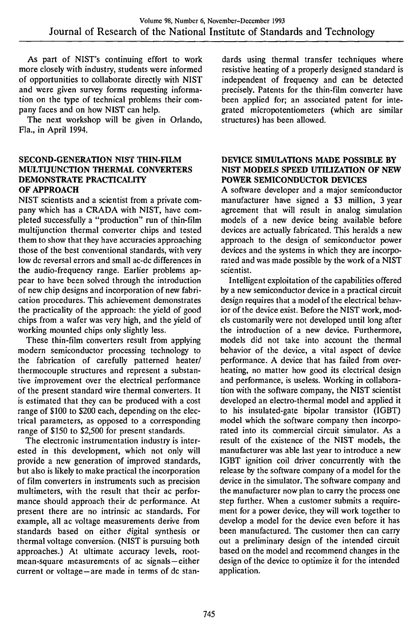As part of NIST's continuing effort to work more closely with industry, students were informed of opportunities to collaborate directly with NIST and were given survey forms requesting information on the type of technical problems their company faces and on how NIST can help.

The next workshop will be given in Orlando, Fla., in April 1994.

#### **SECOND-GENERATION** NIST **THIN-FILM MULTUUNCTION THERMAL CONVERTERS DEMONSTRATE PRACTICALITY OF APPROACH**

NIST scientists and a scientist from a private company which has a CRADA with NIST, have completed successfully a "production" run of thin-film multijunction thermal converter chips and tested them to show that they have accuracies approaching those of the best conventional standards, with very low dc reversal errors and small ac-dc differences in the audio-frequency range. Earlier problems appear to have been solved through the introduction of new chip designs and incorporation of new fabrication procedures. This achievement demonstrates the practicality of the approach: the yield of good chips from a wafer was very high, and the yield of working mounted chips only slightly less.

These thin-film converters result from applying modern semiconductor processing technology to the fabrication of carefully patterned heater/ thermocouple structures and represent a substantive improvement over the electrical performance of the present standard wire thermal converters. It is estimated that they can be produced with a cost range of \$100 to \$200 each, depending on the electrical parameters, as opposed to a corresponding range of \$150 to \$2,500 for present standards.

The electronic instrumentation industry is interested in this development, which not only will provide a new generation of improved standards, but also is likely to make practical the incorporation of film converters in instruments such as precision multimeters, with the result that their ac performance should approach their dc performance. At present there are no intrinsic ac standards. For example, all ac voltage measurements derive from standards based on either digital synthesis or thermal voltage conversion. (NIST is pursuing both approaches.) At ultimate accuracy levels, rootmean-square measurements of ac signals—either current or voltage—are made in terms of dc standards using thermal transfer techniques where resistive heating of a properly designed standard is independent of frequency and can be detected precisely. Patents for the thin-film converter have been applied for; an associated patent for integrated micropotentiometers (which are similar structures) has been allowed.

#### **DEVICE SIMULATIONS MADE POSSIBLE BY NIST MODELS SPEED UTILIZATION OF NEW POWER SEMICONDUCTOR DEVICES**

A software developer and a major semiconductor manufacturer have signed a \$3 million, 3 year agreement that will result in analog simulation models of a new device being available before devices are actually fabricated. This heralds a new approach to the design of semiconductor power devices and the systems in which they are incorporated and was made possible by the work of a NIST scientist.

Intelligent exploitation of the capabilities offered by a new semiconductor device in a practical circuit design requires that a model of the electrical behavior of the device exist. Before the NIST work, models customarily were not developed until long after the introduction of a new device. Furthermore, models did not take into account the thermal behavior of the device, a vital aspect of device performance. A device that has failed from overheating, no matter how good its electrical design and performance, is useless. Working in collaboration with the software company, the NIST scientist developed an electro-thermal model and applied it to his insulated-gate bipolar transistor (IGBT) model which the software company then incorporated into its commercial circuit simulator. As a result of the existence of the NIST models, the manufacturer was able last year to introduce a new IGBT ignition coil driver concurrently with the release by the software company of a model for the device in the simulator. The software company and the manufacturer now plan to carry the process one step further. When a customer submits a requirement for a power device, they will work together to develop a model for the device even before it has been manufactured. The customer then can carry out a preliminary design of the intended circuit based on the model and recommend changes in the design of the device to optimize it for the intended application.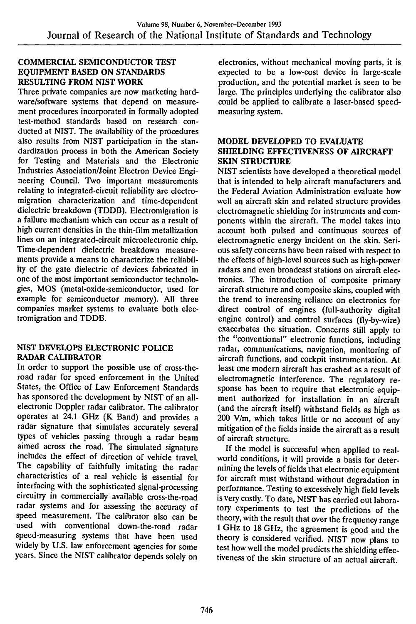#### **COMMERCIAL SEMICONDUCTOR TEST EQUIPMENT BASED ON STANDARDS RESULTING FROM NIST WORK**

Three private companies are now marketing hardware/software systems that depend on measurement procedures incorporated in formally adopted test-method standards based on research conducted at NIST. The availability of the procedures also results from NIST participation in the standardization process in both the American Society for Testing and Materials and the Electronic Industries Association/Joint Electron Device Engineering Council. Two important measurements relating to integrated-circuit reliability are electromigration characterization and time-dependent dielectric breakdown (TDDB). Electromigration is a failure mechanism which can occur as a result of high current densities in the thin-film metallization lines on an integrated-circuit microelectronic chip. Time-dependent dielectric breakdown measurements provide a means to characterize the reliability of the gate dielectric of devices fabricated in one of the most important semiconductor technologies, MOS (metal-oxide-semiconductor, used for example for semiconductor memory). All three companies market systems to evaluate both electromigration and TDDB.

#### **NIST DEVELOPS ELECTRONIC POLICE RADAR CALIBRATOR**

In order to support the possible use of cross-theroad radar for speed enforcement in the United States, the Office of Law Enforcement Standards has sponsored the development by NIST of an allelectronic Doppler radar calibrator. The calibrator operates at 24.1 GHz (K Band) and provides a radar signature that simulates accurately several types of vehicles passing through a radar beam aimed across the road. The simulated signature includes the effect of direction of vehicle travel. The capability of faithfully imitating the radar characteristics of a real vehicle is essential for interfacing with the sophisticated signal-processing circuitry in commercially available cross-the-road radar systems and for assessing the accuracy of speed measurement. The calibrator also can be used with conventional down-the-road radar speed-measuring systems that have been used widely by U.S. law enforcement agencies for some years. Since the NIST calibrator depends solely on

electronics, without mechanical moving parts, it is expected to be a low-cost device in large-scale production, and the potential market is seen to be large. The principles underlying the calibrator also could be applied to calibrate a laser-based speedmeasuring system.

#### **MODEL DEVELOPED TO EVALUATE SHIELDING EFFECTIVENESS OF AIRCRAFT SKIN STRUCTURE**

NIST scientists have developed a theoretical model that is intended to help aircraft manufacturers and the Federal Aviation Administration evaluate how well an aircraft skin and related structure provides electromagnetic shielding for instruments and components within the aircraft. The model takes into account both pulsed and continuous sources of electromagnetic energy incident on the skin. Serious safety concerns have been raised with respect to the effects of high-level sources such as high-power radars and even broadcast stations on aircraft electronics. The introduction of composite primary aircraft structure and composite skins, coupled with the trend to increasing reliance on electronics for direct control of engines (full-authority digital engine control) and control surfaces (fly-by-wire) exacerbates the situation. Concerns still apply to the "conventional" electronic functions, including radar, communications, navigation, monitoring of aircraft functions, and cockpit instrumentation. At least one modern aircraft has crashed as a result of electromagnetic interference. The regulatory response has been to require that electronic equipment authorized for installation in an aircraft (and the aircraft itself) withstand fields as high as  $200$  V/m, which takes little or no account of any mitigation of the fields inside the aircraft as a result of aircraft structure.

If the model is successful when applied to realworld conditions, it will provide a basis for determining the levels of fields that electronic equipment for aircraft must withstand without degradation in performance. Testing to excessively high field levels is very costly. To date, NIST has carried out laboratory experiments to test the predictions of the theory, with the result that over the frequency range <sup>1</sup> GHz to 18 GHz, the agreement is good and the theory is considered verified. NIST now plans to test how well the model predicts the shielding effectiveness of the skin structure of an actual aircraft.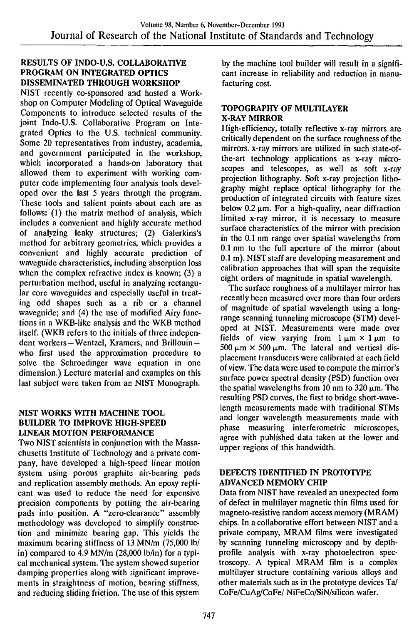## RESULTS OF INDO-U.S. COLLABORATIVE PROGRAM ON INTEGRATED OPTICS DISSEMINATED THROUGH WORKSHOP

NIST recently co-sponsored and hosted a Workshop on Computer Modeling of Optical Waveguide Components to introduce selected results of the joint Indo-U.S. Collaborative Program on Integrated Optics to the U.S. technical community. Some 20 representatives from industry, academia, and government participated in the workshop, which incorporated a hands-on laboratory that allowed them to experiment with working computer code implementing four analysis tools developed over the last 5 years through the program. These tools and salient points about each are as follows: (1) the matrix method of analysis, which includes a convenient and highly accurate method of analyzing leaky structures; (2) Galerkins's method for arbitrary geometries, which provides a convenient and highly accurate prediction of waveguide characteristics, including absorption loss when the complex refractive index is known; (3) a perturbation method, useful in analyzing rectangular core waveguides and especially useful in treating odd shapes such as a rib or a channel waveguide; and (4) the use of modified Airy functions in a WKB-like analysis and the WKB method itself. (WKB refers to the initials of three independent workers—Wentzel, Kramers, and Brillouin who first used the approximation procedure to solve the Schroedinger wave equation in one dimension.) Lecture material and examples on this last subject were taken from an NIST Monograph.

## NIST WORKS WITH MACHINE TOOL BUILDER TO IMPROVE HIGH-SPEED LINEAR MOTION PERFORMANCE

Two NIST scientists in conjunction with the Massachusetts Institute of Technology and a private company, have developed a high-speed linear motion system using porous graphite air-bearing pads and replication assembly methods. An epoxy replicant was used to reduce the need for expensive precision components by potting the air-bearing pads into position. A "zero-clearance" assembly methodology was developed to simplify construction and minimize bearing gap. This yields the maximum bearing stiffness of 13 MN/m (75,000 lb/ in) compared to  $\overline{4.9}$  MN/m (28,000 lb/in) for a typical mechanical system. The system showed superior damping properties along with significant improvements in straightness of motion, bearing stiffness, and reducing sliding friction. The use of this system

by the machine tool builder will result in a significant increase in reliability and reduction in manufacturing cost.

## TOPOGRAPHY OF MULTILAYER X-RAY MIRROR

High-efficiency, totally reflective x-ray mirrors are critically dependent on the surface roughness of the mirrors, x-ray mirrors are utilized in such state-ofthe-art technology applications as x-ray microscopes and telescopes, as well as soft x-ray projection lithography. Soft x-ray projection lithography might replace optical lithography for the production of integrated circuits with feature sizes below 0.2  $\mu$ m. For a high-quality, near diffraction limited x-ray mirror, it is necessary to measure surface characteristics of the mirror with precision in the 0.1 nm range over spatial wavelengths from 0.1 nm to the full aperture of the mirror (about 0.1 m). NIST staff are developing measurement and calibration approaches that will span the requisite eight orders of magnitude in spatial wavelength.

The surface roughness of a multilayer mirror has recently been measured over more than four orders of magnitude of spatial wavelength using a longrange scanning tunneling microscope (STM) developed at NIST. Measurements were made over fields of view varying from  $1 \mu m \times 1 \mu m$  to  $500 \mu m \times 500 \mu m$ . The lateral and vertical displacement transducers were calibrated at each field of view. The data were used to compute the mirror's surface power spectral density (PSD) function over the spatial wavelengths from 10 nm to 320  $\mu$ m. The resulting PSD curves, the first to bridge short-wavelength measurements made with traditional STMs and longer wavelength measurements made with phase measuring interferometric microscopes, agree with published data taken at the lower and upper regions of this bandwidth.

#### DEFECTS IDENTIFIED IN PROTOTYPE ADVANCED MEMORY CHIP

Data from NIST have revealed an unexpected form of defect in multilayer magnetic thin films used for magneto-resistive random access memory (MRAM) chips. In a collaborative effort between NIST and a private company, MRAM films were investigated by scanning tunneling microscopy and by depthprofile analysis with x-ray photoelectron spectroscopy. A typical MRAM film is a complex multilayer structure containing various alloys and other materials such as in the prototype devices Ta/ CoFe/CuAg/CoFe/ NiFeCo/SiN/silicon wafer.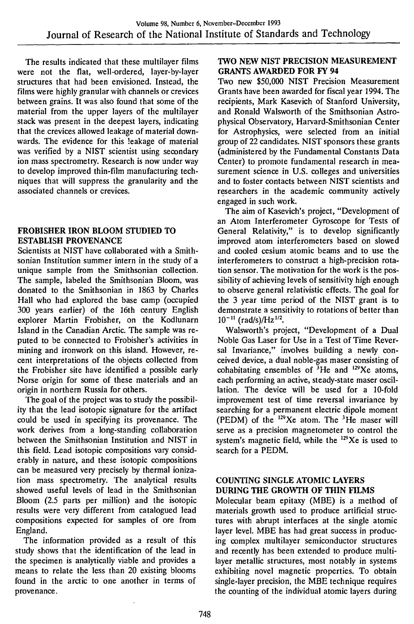The results indicated that these multilayer films were not the flat, well-ordered, layer-by-layer structures that had been envisioned. Instead, the films were highly granular with channels or crevices between grains. It was also found that some of the material from the upper layers of the multilayer stack was present in the deepest layers, indicating that the crevices allowed leakage of material downwards. The evidence for this leakage of material was verified by a NIST scientist using secondary ion mass spectrometry. Research is now under way to develop improved thin-film manufacturing techniques that will suppress the granularity and the associated channels or crevices.

## FROBISHER IRON BLOOM STUDIED TO ESTABLISH PROVENANCE

Scientists at NIST have collaborated with a Smithsonian Institution summer intern in the study of a unique sample from the Smithsonian collection. The sample, labeled the Smithsonian Bloom, was donated to the Smithsonian in 1863 by Charles Hall who had explored the base camp (occupied 300 years earlier) of the 16th century English explorer Martin Frobisher, on the Kodlunarn Island in the Canadian Arctic. The sample was reputed to be connected to Frobisher's activities in mining and ironwork on this island. However, recent interpretations of the objects collected from the Frobisher site have identified a possible early Norse origin for some of these materials and an origin in northern Russia for others.

The goal of the project was to study the possibility that the lead isotopic signature for the artifact could be used in specifying its provenance. The work derives from a long-standing collaboration between the Smithsonian Institution and NIST in this field. Lead isotopic compositions vary considerably in nature, and these isotopic compositions can be measured very precisely by thermal ionization mass spectrometry. The analytical results showed useful levels of lead in the Smithsonian Bloom (2.5 parts per million) and the isotopic results were very different from catalogued lead compositions expected for samples of ore from England.

The information provided as a result of this study shows that the identification of the lead in the specimen is analytically viable and provides a means to relate the less than 20 existing blooms found in the arctic to one another in terms of provenance.

## TWO NEW NIST PRECISION MEASUREMENT GRANTS AWARDED FOR FY 94

Two new \$50,000 NIST Precision Measurement Grants have been awarded for fiscal year 1994. The recipients, Mark Kasevich of Stanford University, and Ronald Walsworth of the Smithsonian Astrophysical Observatory, Harvard-Smithsonian Center for Astrophysics, were selected from an initial group of 22 candidates. NIST sponsors these grants (administered by the Fundamental Constants Data Center) to promote fundamental research in measurement science in U.S. colleges and universities and to foster contacts between NIST scientists and researchers in the academic community actively engaged in such work.

The aim of Kasevich's project, "Development of an Atom Interferometer Gyroscope for Tests of General Relativity," is to develop significantly improved atom interferometers based on slowed and cooled cesium atomic beams and to use the interferometers to construct a high-precision rotation sensor. The motivation for the work is the possibility of achieving levels of sensitivity high enough to observe general relativistic effects. The goal for the 3 year time period of the NIST grant is to demonstrate a sensitivity to rotations of better than  $10^{-11}$  (rad/s)/Hz<sup>1/2</sup>.

Walsworth's project, "Development of a Dual Noble Gas Laser for Use in a Test of Time Reversal Invariance," involves building a newly conceived device, a dual noble-gas maser consisting of cohabitating ensembles of  $3$ He and  $^{129}Xe$  atoms, each performing an active, steady-state maser oscillation. The device will be used for a 10-fold improvement test of time reversal invariance by searching for a permanent electric dipole moment (PEDM) of the  $^{129}Xe$  atom. The <sup>3</sup>He maser will serve as a precision magnetometer to control the system's magnetic field, while the  $^{129}Xe$  is used to search for a PEDM.

#### COUNTING SINGLE ATOMIC LAYERS DURING THE GROWTH OF THIN HLMS

Molecular beam epitaxy (MBE) is a method of materials growth used to produce artificial structures with abrupt interfaces at the single atomic layer level. MBE has had great success in producing complex multilayer semiconductor structures and recently has been extended to produce multilayer metallic structures, most notably in systems exhibiting novel magnetic properties. To obtain single-layer precision, the MBE technique requires the counting of the individual atomic layers during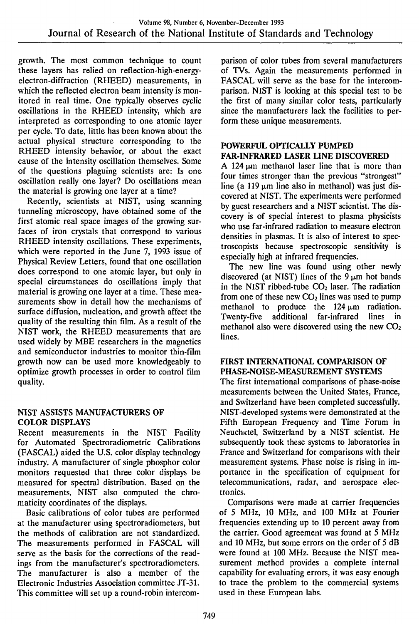growth. The most common technique to count these layers has relied on reflection-high-energyelectron-diffraction (RHEED) measurements, in which the reflected electron beam intensity is monitored in real time. One typically observes cyclic oscillations in the RHEED intensity, which are interpreted as corresponding to one atomic layer per cycle. To date, litfle has been known about the actual physical structure corresponding to the RHEED intensity behavior, or about the exact cause of the intensity oscillation themselves. Some of the questions plaguing scientists are: Is one oscillation really one layer? Do oscillations mean the material is growing one layer at a time?

Recently, scientists at NIST, using scanning tunneling microscopy, have obtained some of the first atomic real space images of the growing surfaces of iron crystals that correspond to various RHEED intensity oscillations. These experiments, which were reported in the June 7, 1993 issue of Physical Review Letters, found that one oscillation does correspond to one atomic layer, but only in special circumstances do oscillations imply that material is growing one layer at a time. These measurements show in detail how the mechanisms of surface diffusion, nucleation, and growth affect the quality of the resulting thin film. As a result of the NIST work, the RHEED measurements that are used widely by MBE researchers in the magnetics and semiconductor industries to monitor thin-film growth now can be used more knowledgeably to optimize growth processes in order to control film quality.

#### **NIST ASSISTS MANUFACTURERS OF COLOR DISPLAYS**

Recent measurements in the NIST Facility for Automated Spectroradiometric Calibrations (PASCAL) aided the U.S. color display technology industry. A manufacturer of single phosphor color monitors requested that three color displays be measured for spectral distribution. Based on the measurements, NIST also computed the chromaticity coordinates of the displays.

Basic calibrations of color tubes are performed at the manufacturer using spectroradiometers, but the methods of calibration are not standardized. The measurements performed in FASCAL will serve as the basis for the corrections of the readings from the manufacturer's spectroradiometers. The manufacturer is also a member of the Electronic Industries Association committee JT-31. This committee will set up a round-robin intercomparison of color tubes from several manufacturers of TVs. Again the measurements performed in PASCAL will serve as the base for the intercomparison. NIST is looking at this special test to be the first of many similar color tests, particularly since the manufacturers lack the facilities to perform these unique measurements.

## **POWERFUL OPTICALLY PUMPED FAR-INFRARED LASER LINE DISCOVERED**

A 124  $\mu$ m methanol laser line that is more than four times stronger than the previous "strongest" line (a 119  $\mu$ m line also in methanol) was just discovered at NIST. The experiments were performed by guest researchers and a NIST scientist. The discovery is of special interest to plasma physicists who use far-infrared radiation to measure electron densities in plasmas. It is also of interest to spectroscopists because spectroscopic sensitivity is especially high at infrared frequencies.

The new line was found using other newly discovered (at NIST) lines of the  $9 \mu m$  hot bands in the NIST ribbed-tube  $CO<sub>2</sub>$  laser. The radiation from one of these new  $CO<sub>2</sub>$  lines was used to pump methanol to produce the 124  $\mu$ m radiation.<br>Twenty-five additional far-infrared lines in Twenty-five additional far-infrared lines in methanol also were discovered using the new  $CO<sub>2</sub>$ lines.

## **HRST INTERNATIONAL COMPARISON OF** PHASE-NOISE-MEASUREMENT SYSTEMS

The first international comparisons of phase-noise measurements between the United States, France, and Switzerland have been completed successfully. NIST-developed systems were demonstrated at the Fifth European Frequency and Time Forum in Neuchktel, Switzerland by a NIST scientist. He subsequently took these systems to laboratories in France and Switzerland for comparisons with their measurement systems. Phase noise is rising in importance in the specification of equipment for telecommunications, radar, and aerospace electronics.

Comparisons were made at carrier frequencies of 5 MHz, 10 MHz, and 100 MHz at Fourier frequencies extending up to 10 percent away from the carrier. Good agreement was found at 5 MHz and 10 MHz, but some errors on the order of 5 dB were found at 100 MHz. Because the NIST measurement method provides a complete internal capability for evaluating errors, it was easy enough to trace the problem to the commercial systems used in these European labs.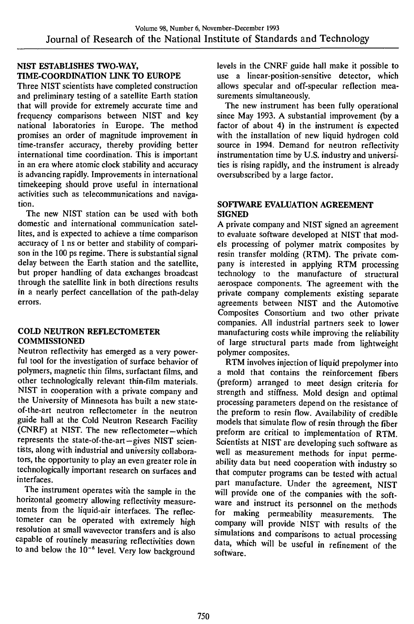## **NIST ESTABLISHES TWO-WAY, TIME-COORDINATION LINK TO EUROPE**

Three NIST scientists have completed construction and preliminary testing of a satellite Earth station that will provide for extremely accurate time and frequency comparisons between NIST and key national laboratories in Europe. The method promises an order of magnitude improvement in time-transfer accuracy, thereby providing better international time coordination. This is important in an era where atomic clock stability and accuracy is advancing rapidly. Improvements in international timekeeping should prove useful in international activities such as telecommunications and navigation.

The new NIST station can be used with both domestic and international communication satellites, and is expected to achieve a time comparison accuracy of <sup>1</sup> ns or better and stability of comparison in the 100 ps regime. There is substantial signal delay between the Earth station and the satellite, but proper handling of data exchanges broadcast through the satellite link in both directions results in a nearly perfect cancellation of the path-delay errors.

### **COLD NEUTRON REFLECTOMETER COMMISSIONED**

Neutron reflectivity has emerged as a very powerful tool for the investigation of surface behavior of polymers, magnetic thin films, surfactant films, and other technologically relevant thin-film materials. NIST in cooperation with a private company and the University of Minnesota has built a new stateof-the-art neutron reflectometer in the neutron guide hall at the Cold Neutron Research Facility (CNRF) at NIST. The new reflectometer-which represents the state-of-the-art-gives NIST scientists, along with industrial and university collaborators, the opportunity to play an even greater role in technologically important research on surfaces and interfaces.

The instrument operates with the sample in the horizontal geometry allowing reflectivity measurements from the liquid-air interfaces. The reflectometer can be operated with extremely high resolution at small wavevector transfers and is also capable of routinely measuring reflectivities down to and below the  $10^{-6}$  level. Very low background levels in the CNRF guide hall make it possible to use a linear-position-sensitive detector, which allows specular and off-specular reflection measurements simultaneously.

The new instrument has been fully operational since May 1993. A substantial improvement (by a factor of about 4) in the instrument is expected with the installation of new liquid hydrogen cold source in 1994. Demand for neutron reflectivity instrumentation time by U.S. industry and universities is rising rapidly, and the instrument is already oversubscribed by a large factor.

#### **SOFTWARE EVALUATION AGREEMENT SIGNED**

A private company and NIST signed an agreement to evaluate software developed at NIST that models processing of polymer matrix composites by resin transfer molding (RTM). The private company is interested in applying RTM processing technology to the manufacture of structural aerospace components. The agreement with the private company complements existing separate agreements between NIST and the Automotive Composites Consortium and two other private companies. All industrial partners seek to lower manufacturing costs while improving the reliability of large structural parts made from lightweight polymer composites.

RTM involves injection of liquid prepolymer into a mold that contains the reinforcement fibers (preform) arranged to meet design criteria for strength and stiffness. Mold design and optimal processing parameters depend on the resistance of the preform to resin flow. Availability of credible models that simulate flow of resin through the fiber preform are critical to implementation of RTM. Scientists at NIST are developing such software as well as measurement methods for input permeability data but need cooperation with industry so that computer programs can be tested with actual part manufacture. Under the agreement, NIST will provide one of the companies with the software and instruct its personnel on the methods for making permeability measurements. The company will provide NIST with results of the simulations and comparisons to actual processing data, which will be useful in refinement of the software.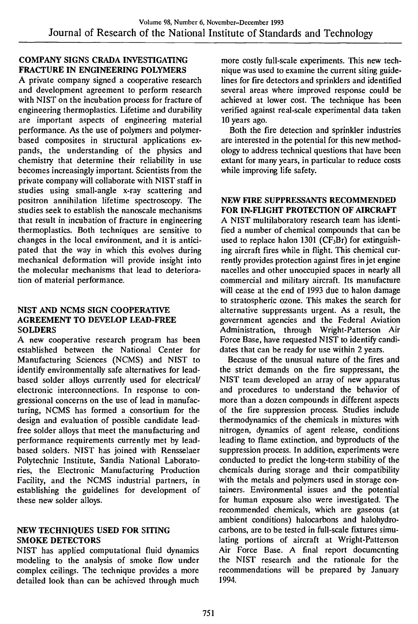## **COMPANY SIGNS CRADA INVESTIGATING FRACTURE IN ENGINEERING POLYMERS**

A private company signed a cooperative research and development agreement to perform research with NIST on the incubation process for fracture of engineering thermoplastics. Lifetime and durability are important aspects of engineering material performance. As the use of polymers and polymerbased composites in structural applications expands, the understanding of the physics and chemistry that determine their reliability in use becomes increasingly important. Scientists from the private company will collaborate with NIST staff in studies using small-angle x-ray scattering and positron annihilation lifetime spectroscopy. The studies seek to establish the nanoscale mechanisms that result in incubation of fracture in engineering thermoplastics. Both techniques are sensitive to changes in the local environment, and it is anticipated that the way in which this evolves during mechanical deformation will provide insight into the molecular mechanisms that lead to deterioration of material performance.

#### **NIST AND NCMS SIGN COOPERATIVE AGREEMENT TO DEVELOP LEAD-FREE SOLDERS**

A new cooperative research program has been established between the National Center for Manufacturing Sciences (NCMS) and NIST to identify environmentally safe alternatives for leadbased solder alloys currently used for electrical/ electronic interconnections. In response to congressional concerns on the use of lead in manufacturing, NCMS has formed a consortium for the design and evaluation of possible candidate leadfree solder alloys that meet the manufacturing and performance requirements currently met by leadbased solders. NIST has joined with Rensselaer Polytechnic Institute, Sandia National Laboratories, the Electronic Manufacturing Production Facility, and the NCMS industrial partners, in establishing the guidelines for development of these new solder alloys.

#### **NEW TECHNIQUES USED FOR SITING SMOKE DETECTORS**

NIST has applied computational fluid dynamics modeling to the analysis of smoke flow under complex ceilings. The technique provides a more detailed look than can be achieved through much

more costly full-scale experiments. This new technique was used to examine the current siting guidelines for fire detectors and sprinklers and identified several areas where improved response could be achieved at lower cost. The technique has been verified against real-scale experimental data taken 10 years ago.

Both the fire detection and sprinkler industries are interested in the potential for this new methodology to address technical questions that have been extant for many years, in particular to reduce costs while improving life safety.

## **NEW FIRE SUPPRESSANTS RECOMMENDED FOR IN-FLIGHT PROTECTION OF AIRCRAFT**

A NIST multilaboratory research team has identified a number of chemical compounds that can be used to replace halon 1301 ( $CF<sub>3</sub>Br$ ) for extinguishing aircraft fires while in flight. This chemical currently provides protection against fires in jet engine nacelles and other unoccupied spaces in nearly all commercial and military aircraft. Its manufacture will cease at the end of 1993 due to halon damage to stratospheric ozone. This makes the search for alternative suppressants urgent. As a result, the government agencies and the Federal Aviation Administration, through Wright-Patterson Air Force Base, have requested NIST to identify candidates that can be ready for use within 2 years.

Because of the unusual nature of the fires and the strict demands on the fire suppressant, the NIST team developed an array of new apparatus and procedures to understand the behavior of more than a dozen compounds in different aspects of the fire suppression process. Studies include thermodynamics of the chemicals in mixtures with nitrogen, dynamics of agent release, conditions leading to flame extinction, and byproducts of the suppression process. In addition, experiments were conducted to predict the long-term stability of the chemicals during storage and their compatibility with the metals and polymers used in storage containers. Environmental issues and the potential for human exposure also were investigated. The recommended chemicals, which are gaseous (at ambient conditions) halocarbons and halohydrocarbons, are to be tested in full-scale fixtures simulating portions of aircraft at Wright-Patterson Air Force Base. A final report documenting the NIST research and the rationale for the recommendations will be prepared by January 1994.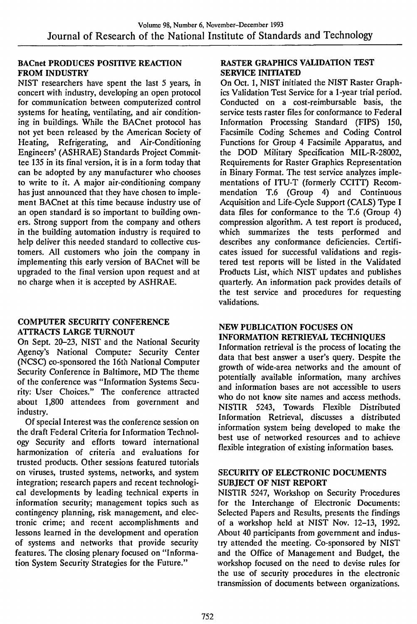#### BACnet PRODUCES POSITIVE REACTION FROM INDUSTRY

NIST researchers have spent the last 5 years, in concert with industry, developing an open protocol for communication between computerized control systems for heating, ventilating, and air conditioning in buildings. While the BACnet protocol has not yet been released by the American Society of Heating, Refrigerating, and Air-Conditioning Engineers' (ASHRAE) Standards Project Committee 135 in its final version, it is in a form today that can be adopted by any manufacturer who chooses to write to it. A major air-conditioning company has just announced that they have chosen to implement BACnet at this time because industry use of an open standard is so important to building owners. Strong support from the company and others in the building automation industry is required to help deliver this needed standard to collective customers. All customers who join the company in implementing this early version of BACnet will be upgraded to the final version upon request and at no charge when it is accepted by ASHRAE.

#### COMPUTER SECURITY CONFERENCE ATTRACTS LARGE TURNOUT

On Sept. 20-23, NIST and the National Security Agency's National Computer Security Center (NCSC) co-sponsored the 16th National Computer Security Conference in Baltimore, MD The theme of the conference was "Information Systems Security: User Choices." The conference attracted about 1,800 attendees from government and industry.

Of special Interest was the conference session on the draft Federal Criteria for Information Technology Security and efforts toward international harmonization of criteria and evaluations for trusted products. Other sessions featured tutorials on viruses, trusted systems, networks, and system integration; research papers and recent technological developments by leading technical experts in information security; management topics such as contingency planning, risk management, and electronic crime; and recent accomplishments and lessons learned in the development and operation of systems and networks that provide security features. The closing plenary focused on "Information System Security Strategies for the Future."

#### RASTER GRAPHICS VALIDATION TEST SERVICE INITIATED

On Oct. 1, NIST initiated the NIST Raster Graphics Validation Test Service for a 1-year trial period. Conducted on a cost-reimbursable basis, the service tests raster files for conformance to Federal Information Processing Standard (FIPS) 150, Facsimile Coding Schemes and Coding Control Functions for Group 4 Facsimile Apparatus, and the DOD Military Specification MIL-R-28002, Requirements for Raster Graphics Representation in Binary Format. The test service analyzes implementations of ITU-T (formerly CCITT) Recommendation T.6 (Group 4) and Continuous Acquisition and Life-Cycle Support (CALS) Type I data files for conformance to the T.6 (Group 4) compression algorithm. A test report is produced, which summarizes the tests performed and describes any conformance deficiencies. Certificates issued for successful validations and registered test reports will be listed in the Validated Products List, which NIST updates and publishes quarterly. An information pack provides details of the test service and procedures for requesting validations.

#### NEW PUBLICATION FOCUSES ON INFORMATION RETRIEVAL TECHNIQUES

Information retrieval is the process of locating the data that best answer a user's query. Despite the growth of wide-area networks and the amount of potentially available information, many archives and information bases are not accessible to users who do not know site names and access methods. NISTIR 5243, Towards Flexible Distributed Information Retrieval, discusses a distributed information system being developed to make the best use of networked resources and to achieve flexible integration of existing information bases.

#### SECURITY OF ELECTRONIC DOCUMENTS SUBJECT OF NIST REPORT

NISTIR 5247, Workshop on Security Procedures for the Interchange of Electronic Documents: Selected Papers and Results, presents the findings of a workshop held at NIST Nov. 12-13, 1992. About 40 participants from government and industry attended the meeting. Co-sponsored by NIST and the Office of Management and Budget, the workshop focused on the need to devise rules for the use of security procedures in the electronic transmission of documents between organizations.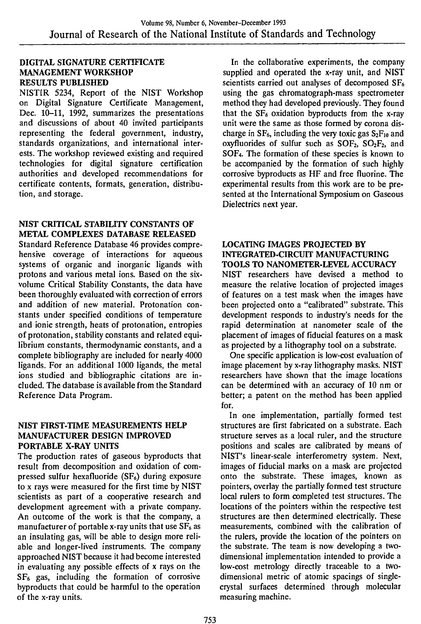#### **DIGITAL SIGNATURE CERTIFICATE MANAGEMENT WORKSHOP RESULTS PUBLISHED**

NISTIR 5234, Report of the NIST Workshop on Digital Signature Certificate Management, Dec. 10-11, 1992, summarizes the presentations and discussions of about 40 invited participants representing the federal government, industry, standards organizations, and international interests. The workshop reviewed existing and required technologies for digital signature certification authorities and developed recommendations for certificate contents, formats, generation, distribution, and storage.

## **NIST CRITICAL STABILITY CONSTANTS OF METAL COMPLEXES DATABASE RELEASED**

Standard Reference Database 46 provides comprehensive coverage of interactions for aqueous systems of organic and inorganic ligands with protons and various metal ions. Based on the sixvolume Critical Stability Constants, the data have been thoroughly evaluated with correction of errors and addition of new material. Protonation constants under specified conditions of temperature and ionic strength, heats of protonation, entropies of protonation, stability constants and related equilibrium constants, thermodynamic constants, and a complete bibliography are included for nearly 4000 ligands. For an additional 1000 ligands, the metal ions studied and bibliographic citations are included. The database is available from the Standard Reference Data Program.

#### **NIST FIRST-TIME MEASUREMENTS HELP MANUFACTURER DESIGN IMPROVED PORTABLE X-RAY UNITS**

The production rates of gaseous byproducts that result from decomposition and oxidation of compressed sulfur hexafluoride (SF $_6$ ) during exposure to x rays were measured for the first time by NIST scientists as part of a cooperative research and development agreement with a private company. An outcome of the work is that the company, a manufacturer of portable x-ray units that use  $SF<sub>6</sub>$  as an insulating gas, will be able to design more reliable and longer-lived instruments. The company approached NIST because it had become interested in evaluating any possible effects of x rays on the  $SF<sub>6</sub>$  gas, including the formation of corrosive byproducts that could be harmful to the operation of the x-ray units.

In the collaborative experiments, the company supplied and operated the x-ray unit, and NIST scientists carried out analyses of decomposed  $SF<sub>6</sub>$ using the gas chromatograph-mass spectrometer method they had developed previously. They found that the  $SF<sub>6</sub>$  oxidation byproducts from the x-ray unit were the same as those formed by corona discharge in  $SF_6$ , including the very toxic gas  $S_2F_{10}$  and oxyfluorides of sulfur such as  $SOF_2$ ,  $SO_2F_2$ , and SOF4. The formation of these species is known to be accompanied by the formation of such highly corrosive byproducts as HF and free fluorine. The experimental results from this work are to be presented at the International Symposium on Gaseous Dielectrics next year.

#### **LOCATING IMAGES PROJECTED BY INTEGRATED-CIRCUIT MANUFACTURING TOOLS TO NANOMETER-LEVEL ACCURACY**

NIST researchers have devised a method to measure the relative location of projected images of features on a test mask when the images have been projected onto a "calibrated" substrate. This development responds to industry's needs for the rapid determination at nanometer scale of the placement of images of fiducial features on a mask as projected by a lithography tool on a substrate.

One specific application is low-cost evaluation of image placement by x-ray lithography masks. NIST researchers have shown that the image locations can be determined with an accuracy of 10 nm or better; a patent on the method has been applied for.

In one implementation, partially formed test structures are first fabricated on a substrate. Each structure serves as a local ruler, and the structure positions and scales are calibrated by means of NIST's linear-scale interferometry system. Next, images of fiducial marks on a mask are projected onto the substrate. These images, known as pointers, overlay the partially formed test structure local rulers to form completed test structures. The locations of the pointers within the respective test structures are then determined electrically. These measurements, combined with the calibration of the rulers, provide the location of the pointers on the substrate. The team is now developing a twodimensional implementation intended to provide a low-cost metrology directly traceable to a twodimensional metric of atomic spacings of singlecrystal surfaces determined through molecular measuring machine.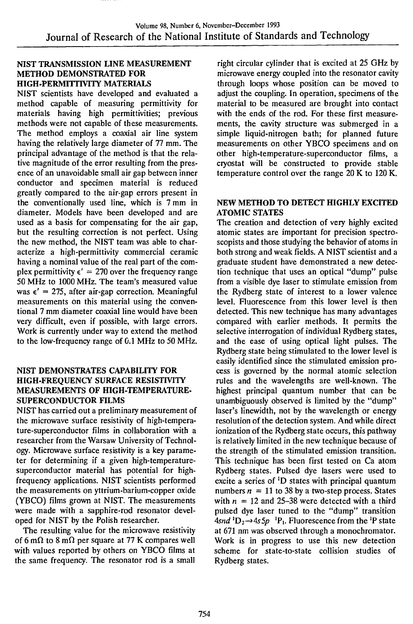#### NIST TRANSMISSION LINE MEASUREMENT METHOD DEMONSTRATED FOR HIGH-PERMITTIVITY MATERIALS

NIST scientists have developed and evaluated a method capable of measuring permittivity for materials having high permittivities; previous methods were not capable of these measurements. The method employs a coaxial air line system having the relatively large diameter of 77 mm. The principal advantage of the method is that the relative magnitude of the error resulting from the presence of an unavoidable small air gap between inner conductor and specimen material is reduced greatly compared to the air-gap errors present in the conventionally used line, which is 7 mm in diameter. Models have been developed and are used as a basis for compensating for the air gap, but the resulting correction is not perfect. Using the new method, the NIST team was able to characterize a high-permittivity commercial ceramic having a nominal value of the real part of the complex permittivity  $\epsilon' = 270$  over the frequency range 50 MHz to 1000 MHz. The team's measured value was  $\epsilon' = 275$ , after air-gap correction. Meaningful measurements on this material using the conventional 7 mm diameter coaxial line would have been very difficult, even if possible, with large errors. Work is currently under way to extend the method to the low-frequency range of 0.1 MHz to 50 MHz.

## NIST DEMONSTRATES CAPABILITY FOR HIGH-FREQUENCY SURFACE RESISTIVITY MEASUREMENTS OF HIGH-TEMPERATURE-SUPERCONDUCTOR FILMS

NIST has carried out a preliminary measurement of the microwave surface resistivity of high-temperature-superconductor films in collaboration with a researcher from the Warsaw University of Technology. Microwave surface resistivity is a key parameter for determining if a given high-temperaturesuperconductor material has potential for highfrequency applications. NIST scientists performed the measurements on yttrium-barium-copper oxide (YBCO) films grown at NIST. The measurements were made with a sapphire-rod resonator developed for NIST by the Polish researcher.

The resulting value for the microwave resistivity of 6 m $\Omega$  to 8 m $\Omega$  per square at 77 K compares well with values reported by others on YBCO films at the same frequency. The resonator rod is a small

right circular cylinder that is excited at 25 GHz by microwave energy coupled into the resonator cavity through loops whose position can be moved to adjust the coupling. In operation, specimens of the material to be measured are brought into contact with the ends of the rod. For these first measurements, the cavity structure was submerged in a simple liquid-nitrogen bath; for planned future measurements on other YBCO specimens and on other high-temperature-superconductor films, a cryostat will be constructed to provide stable temperature control over the range 20 K to 120 K.

#### NEW METHOD TO DETECT HIGHLY EXCITED ATOMIC STATES

The creation and detection of very highly excited atomic states are important for precision spectroscopists and those studying the behavior of atoms in both strong and weak fields. A NIST scientist and a graduate student have demonstrated a new detection technique that uses an optical "dump" pulse from a visible dye laser to stimulate emission from the Rydberg state of interest to a lower valence level. Fluorescence from this lower level is then detected. This new technique has many advantages compared with earlier methods. It permits the selective interrogation of individual Rydberg states, and the ease of using optical light pulses. The Rydberg state being stimulated to the lower level is easily identified since the stimulated emission process is governed by the normal atomic selection rules and the wavelengths are well-known. The highest principal quantum number that can be unambiguously observed is limited by the "dump" laser's linewidth, not by the wavelength or energy resolution of the detection system. And while direct ionization of the Rydberg state occurs, this pathway is relatively limited in the new technique because of the strength of the stimulated emission transition. This technique has been first tested on Ca atom Rydberg states. Pulsed dye lasers were used to excite a series of 'D states with principal quantum numbers  $n = 11$  to 38 by a two-step process. States with  $n = 12$  and 25-38 were detected with a third pulsed dye laser tuned to the "dump" transition  $4$ snd<sup>1</sup>D<sub>2</sub> $\rightarrow$ 4s5p<sup>-1</sup>P<sub>1</sub>. Fluorescence from the <sup>1</sup>P state at 671 nm was observed through a monochromator. Work is in progress to use this new detection scheme for state-to-state collision studies of Rydberg states.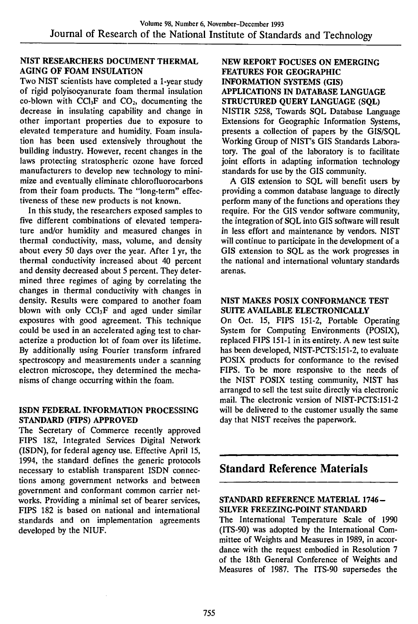## **^^ST RESEARCHERS DOCUMENT THERMAL AGING OF FOAM INSULATION**

Two NIST scientists have completed a 1-year study of rigid polyisocyanurate foam thermal insulation co-blown with  $CCl_3F$  and  $CO<sub>2</sub>$ , documenting the decrease in insulating capability and change in other important properties due to exposure to elevated temperature and humidity. Foam insulation has been used extensively throughout the building industry. However, recent changes in the laws protecting stratospheric ozone have forced manufacturers to develop new technology to minimize and eventually eliminate chlorofluorocarbons from their foam products. The "long-term" effectiveness of these new products is not known.

In this study, the researchers exposed samples to five different combinations of elevated temperature and/or humidity and measured changes in thermal conductivity, mass, volume, and density about every 50 days over the year. After <sup>1</sup> yr, the thermal conductivity increased about 40 percent and density decreased about 5 percent. They determined three regimes of aging by correlating the changes in thermal conductivity with changes in density. Results were compared to another foam blown with only  $CCl_3F$  and aged under similar exposures with good agreement. This technique could be used in an accelerated aging test to characterize a production lot of foam over its lifetime. By additionally using Fourier transform infrared spectroscopy and measurements under a scanning electron microscope, they determined the mechanisms of change occurring within the foam.

## **ISDN FEDERAL INFORMATION PROCESSING STANDARD (FIPS) APPROVED**

The Secretary of Commerce recently approved FIPS 182, Integrated Services Digital Network (ISDN), for federal agency use. Effective April 15, 1994, the standard defines the generic protocols necessary to establish transparent ISDN connections among government networks and between government and conformant common carrier networks. Providing a minimal set of bearer services, FIPS 182 is based on national and international standards and on implementation agreements developed by the NIUF.

## **NEW REPORT FOCUSES ON EMERGING FEATURES FOR GEOGRAPHIC INFORMATION SYSTEMS (GIS) APPLICATIONS IN DATABASE LANGUAGE STRUCTURED QUERY LANGUAGE (SQL)**

NISTIR 5258, Towards SQL Database Language Extensions for Geographic Information Systems, presents a collection of papers by the GIS/SQL Working Group of NIST's GIS Standards Laboratory. The goal of the laboratory is to facilitate joint efforts in adapting information technology standards for use by the GIS community.

A GIS extension to SQL will benefit users by providing a common database language to directly perform many of the functions and operations they require. For the GIS vendor software community, the integration of SQL into GIS software will result in less effort and maintenance by vendors. NIST will continue to participate in the development of a GIS extension to SQL as the work progresses in the national and international voluntary standards arenas.

#### **NIST MAKES POSIX CONFORMANCE TEST SUITE AVAILABLE ELECTRONICALLY**

On Oct. 15, FIPS 151-2, Portable Operating System for Computing Environments (POSIX), replaced FIPS 151-1 in its entirety. A new test suite has been developed, NIST-PCTS:I5I-2, to evaluate POSIX products for conformance to the revised FIPS. To be more responsive to the needs of the NIST POSIX testing community, NIST has arranged to sell the test suite directly via electronic mail. The electronic version of NIST-PCTS:151-2 will be delivered to the customer usually the same day that NIST receives the paperwork.

# **Standard Reference Materials**

#### **STANDARD REFERENCE MATERUL 1746- SILVER FREEZING-POINT STANDARD**

The International Temperature Scale of 1990 (ITS-90) was adopted by the International Committee of Weights and Measures in 1989, in accordance with the request embodied in Resolution 7 of the 18th General Conference of Weights and Measures of 1987. The ITS-90 supersedes the